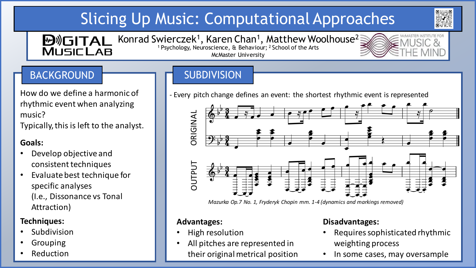# Slicing Up Music: Computational Approaches





How do we define a harmonic of rhythmic event when analyzing music?

Typically,this is left to the analyst.

### **Goals:**

- Develop objective and consistent techniques
- Evaluate best technique for specific analyses (I.e., Dissonance vs Tonal Attraction)

### **Techniques:**

- Subdivision
- Grouping
- **Reduction**

## BACKGROUND SUBDIVISION

- Every pitch change defines an event: the shortest rhythmic event is represented



*Mazurka Op.7 No. 1, Fryderyk Chopin mm. 1-4 (dynamics and markings removed)*

### **Advantages:**

- High resolution
- All pitches are represented in their original metrical position

### **Disadvantages:**

- Requires sophisticated rhythmic weighting process
- In some cases, may oversample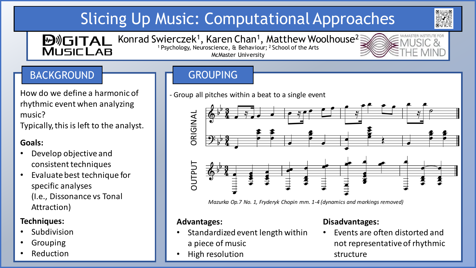# Slicing Up Music: Computational Approaches





## BACKGROUND GROUPING

How do we define a harmonic of rhythmic event when analyzing music?

Typically,this is left to the analyst.

### **Goals:**

- Develop objective and consistent techniques
- Evaluate best technique for specific analyses (I.e., Dissonance vs Tonal Attraction)

### **Techniques:**

- Subdivision
- Grouping
- **Reduction**

- Group all pitches within a beat to a single event



*Mazurka Op.7 No. 1, Fryderyk Chopin mm. 1-4 (dynamics and markings removed)*

### **Advantages:**

- Standardized event length within a piece of music
- High resolution

### **Disadvantages:**

• Events are often distorted and not representative of rhythmic structure